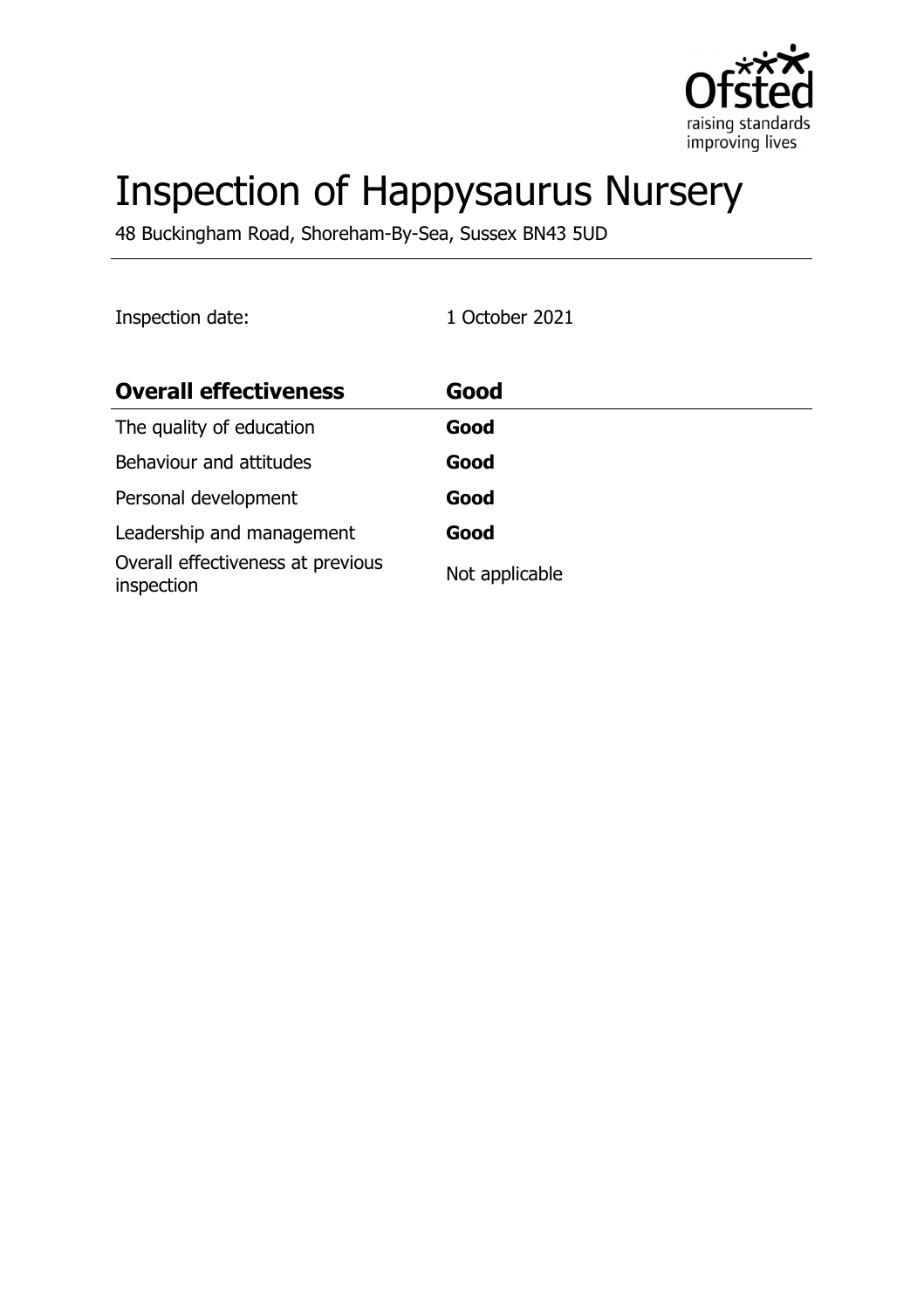

# Inspection of Happysaurus Nursery

48 Buckingham Road, Shoreham-By-Sea, Sussex BN43 5UD

Inspection date: 1 October 2021

| <b>Overall effectiveness</b>                    | Good           |
|-------------------------------------------------|----------------|
| The quality of education                        | Good           |
| Behaviour and attitudes                         | Good           |
| Personal development                            | Good           |
| Leadership and management                       | Good           |
| Overall effectiveness at previous<br>inspection | Not applicable |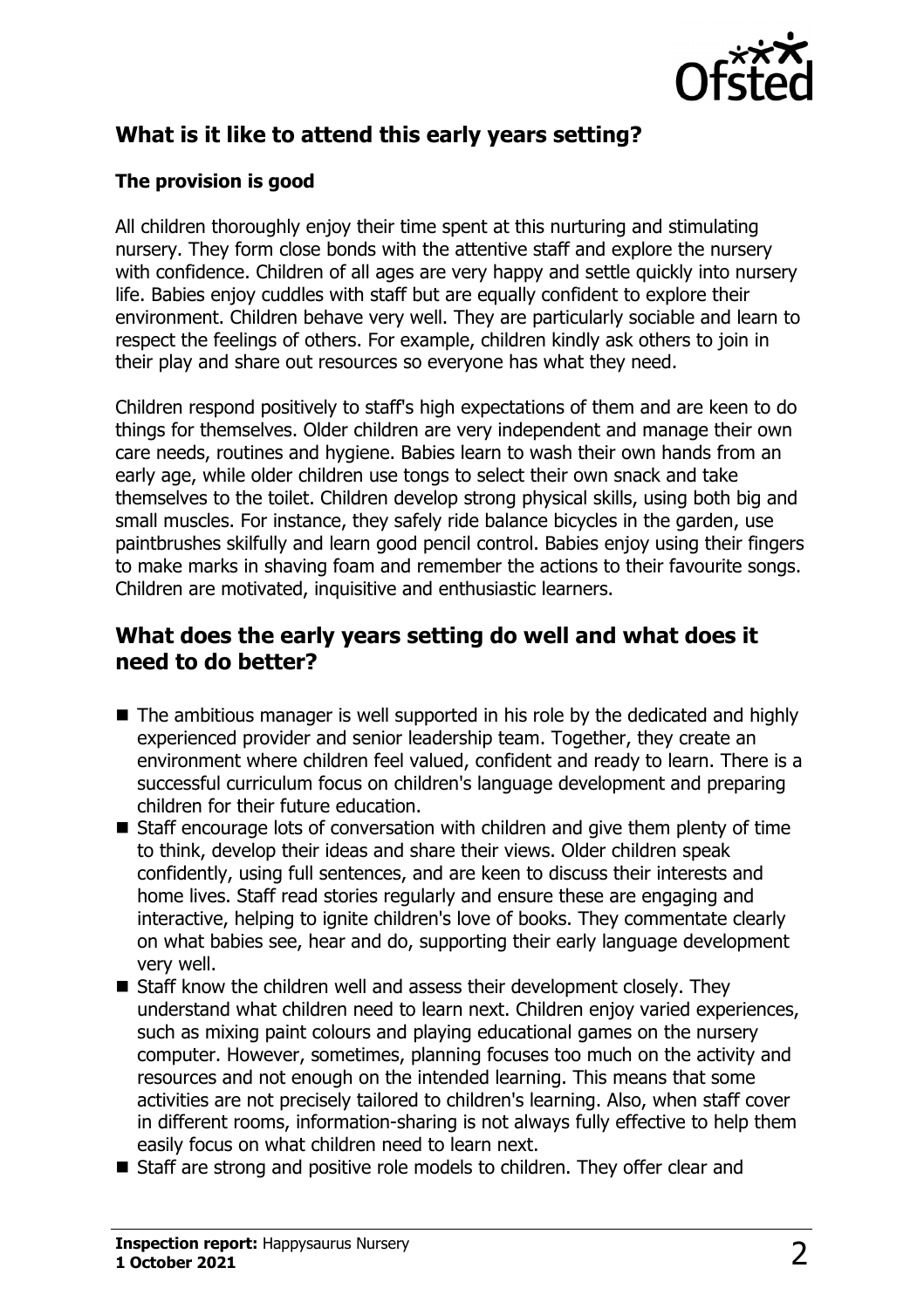

# **What is it like to attend this early years setting?**

## **The provision is good**

All children thoroughly enjoy their time spent at this nurturing and stimulating nursery. They form close bonds with the attentive staff and explore the nursery with confidence. Children of all ages are very happy and settle quickly into nursery life. Babies enjoy cuddles with staff but are equally confident to explore their environment. Children behave very well. They are particularly sociable and learn to respect the feelings of others. For example, children kindly ask others to join in their play and share out resources so everyone has what they need.

Children respond positively to staff's high expectations of them and are keen to do things for themselves. Older children are very independent and manage their own care needs, routines and hygiene. Babies learn to wash their own hands from an early age, while older children use tongs to select their own snack and take themselves to the toilet. Children develop strong physical skills, using both big and small muscles. For instance, they safely ride balance bicycles in the garden, use paintbrushes skilfully and learn good pencil control. Babies enjoy using their fingers to make marks in shaving foam and remember the actions to their favourite songs. Children are motivated, inquisitive and enthusiastic learners.

# **What does the early years setting do well and what does it need to do better?**

- $\blacksquare$  The ambitious manager is well supported in his role by the dedicated and highly experienced provider and senior leadership team. Together, they create an environment where children feel valued, confident and ready to learn. There is a successful curriculum focus on children's language development and preparing children for their future education.
- $\blacksquare$  Staff encourage lots of conversation with children and give them plenty of time to think, develop their ideas and share their views. Older children speak confidently, using full sentences, and are keen to discuss their interests and home lives. Staff read stories regularly and ensure these are engaging and interactive, helping to ignite children's love of books. They commentate clearly on what babies see, hear and do, supporting their early language development very well.
- $\blacksquare$  Staff know the children well and assess their development closely. They understand what children need to learn next. Children enjoy varied experiences, such as mixing paint colours and playing educational games on the nursery computer. However, sometimes, planning focuses too much on the activity and resources and not enough on the intended learning. This means that some activities are not precisely tailored to children's learning. Also, when staff cover in different rooms, information-sharing is not always fully effective to help them easily focus on what children need to learn next.
- Staff are strong and positive role models to children. They offer clear and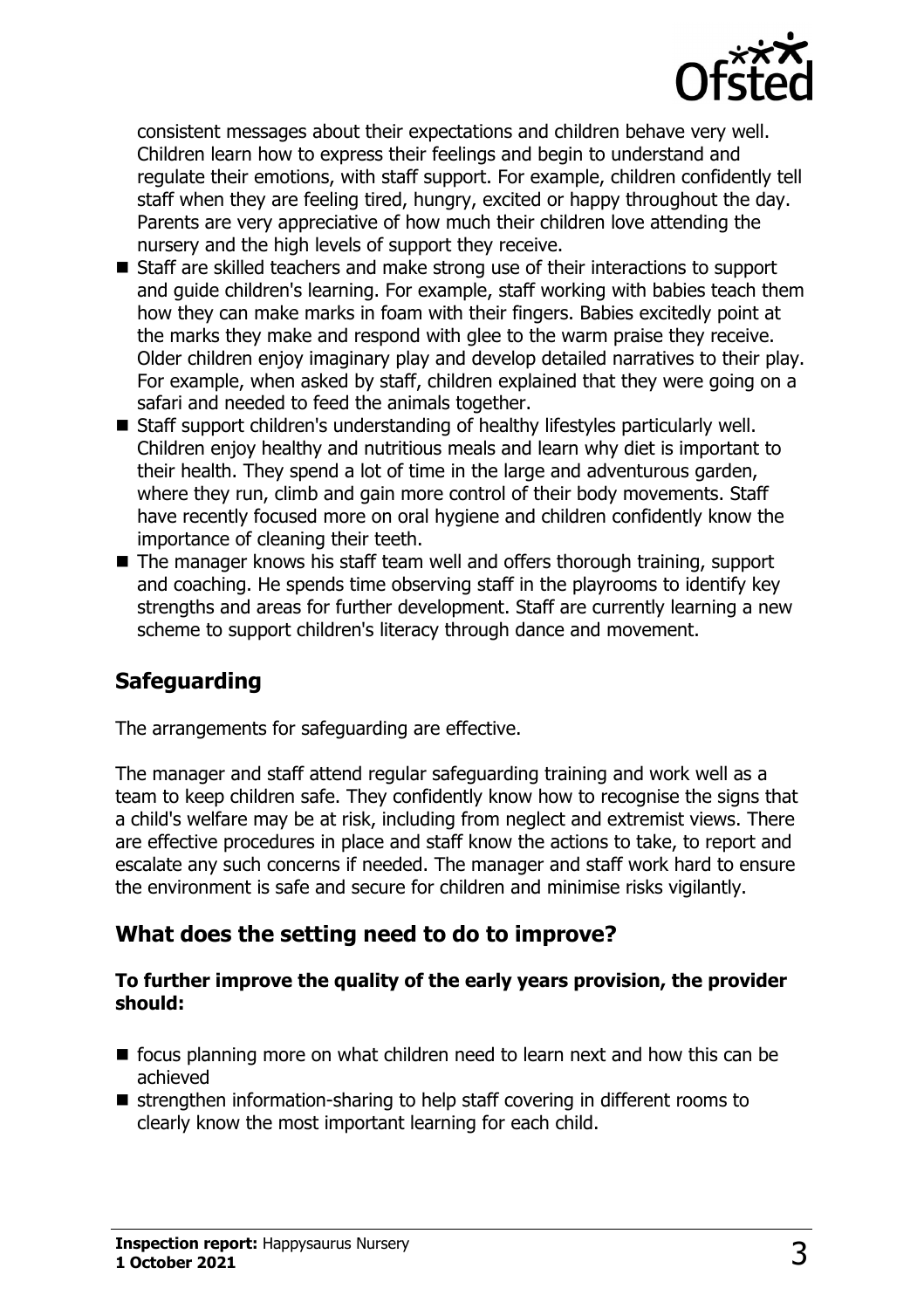

consistent messages about their expectations and children behave very well. Children learn how to express their feelings and begin to understand and regulate their emotions, with staff support. For example, children confidently tell staff when they are feeling tired, hungry, excited or happy throughout the day. Parents are very appreciative of how much their children love attending the nursery and the high levels of support they receive.

- Staff are skilled teachers and make strong use of their interactions to support and guide children's learning. For example, staff working with babies teach them how they can make marks in foam with their fingers. Babies excitedly point at the marks they make and respond with glee to the warm praise they receive. Older children enjoy imaginary play and develop detailed narratives to their play. For example, when asked by staff, children explained that they were going on a safari and needed to feed the animals together.
- Staff support children's understanding of healthy lifestyles particularly well. Children enjoy healthy and nutritious meals and learn why diet is important to their health. They spend a lot of time in the large and adventurous garden, where they run, climb and gain more control of their body movements. Staff have recently focused more on oral hygiene and children confidently know the importance of cleaning their teeth.
- $\blacksquare$  The manager knows his staff team well and offers thorough training, support and coaching. He spends time observing staff in the playrooms to identify key strengths and areas for further development. Staff are currently learning a new scheme to support children's literacy through dance and movement.

## **Safeguarding**

The arrangements for safeguarding are effective.

The manager and staff attend regular safeguarding training and work well as a team to keep children safe. They confidently know how to recognise the signs that a child's welfare may be at risk, including from neglect and extremist views. There are effective procedures in place and staff know the actions to take, to report and escalate any such concerns if needed. The manager and staff work hard to ensure the environment is safe and secure for children and minimise risks vigilantly.

## **What does the setting need to do to improve?**

#### **To further improve the quality of the early years provision, the provider should:**

- $\blacksquare$  focus planning more on what children need to learn next and how this can be achieved
- $\blacksquare$  strengthen information-sharing to help staff covering in different rooms to clearly know the most important learning for each child.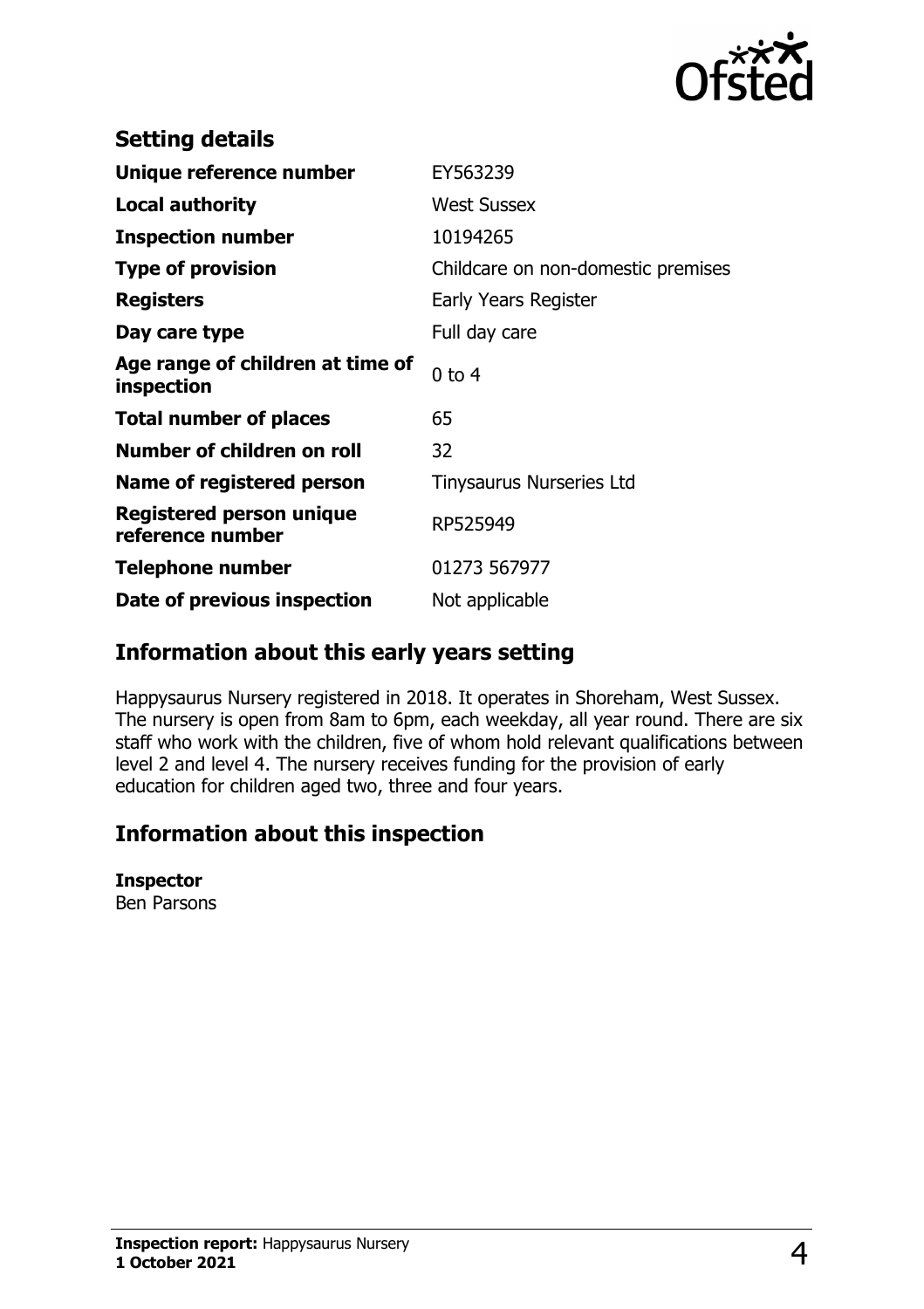

| <b>Setting details</b>                              |                                    |
|-----------------------------------------------------|------------------------------------|
| Unique reference number                             | EY563239                           |
| <b>Local authority</b>                              | <b>West Sussex</b>                 |
| <b>Inspection number</b>                            | 10194265                           |
| <b>Type of provision</b>                            | Childcare on non-domestic premises |
| <b>Registers</b>                                    | Early Years Register               |
| Day care type                                       | Full day care                      |
| Age range of children at time of<br>inspection      | $0$ to $4$                         |
| <b>Total number of places</b>                       | 65                                 |
| Number of children on roll                          | 32                                 |
| Name of registered person                           | <b>Tinysaurus Nurseries Ltd</b>    |
| <b>Registered person unique</b><br>reference number | RP525949                           |
| <b>Telephone number</b>                             | 01273 567977                       |
| Date of previous inspection                         | Not applicable                     |

## **Information about this early years setting**

Happysaurus Nursery registered in 2018. It operates in Shoreham, West Sussex. The nursery is open from 8am to 6pm, each weekday, all year round. There are six staff who work with the children, five of whom hold relevant qualifications between level 2 and level 4. The nursery receives funding for the provision of early education for children aged two, three and four years.

## **Information about this inspection**

#### **Inspector**

Ben Parsons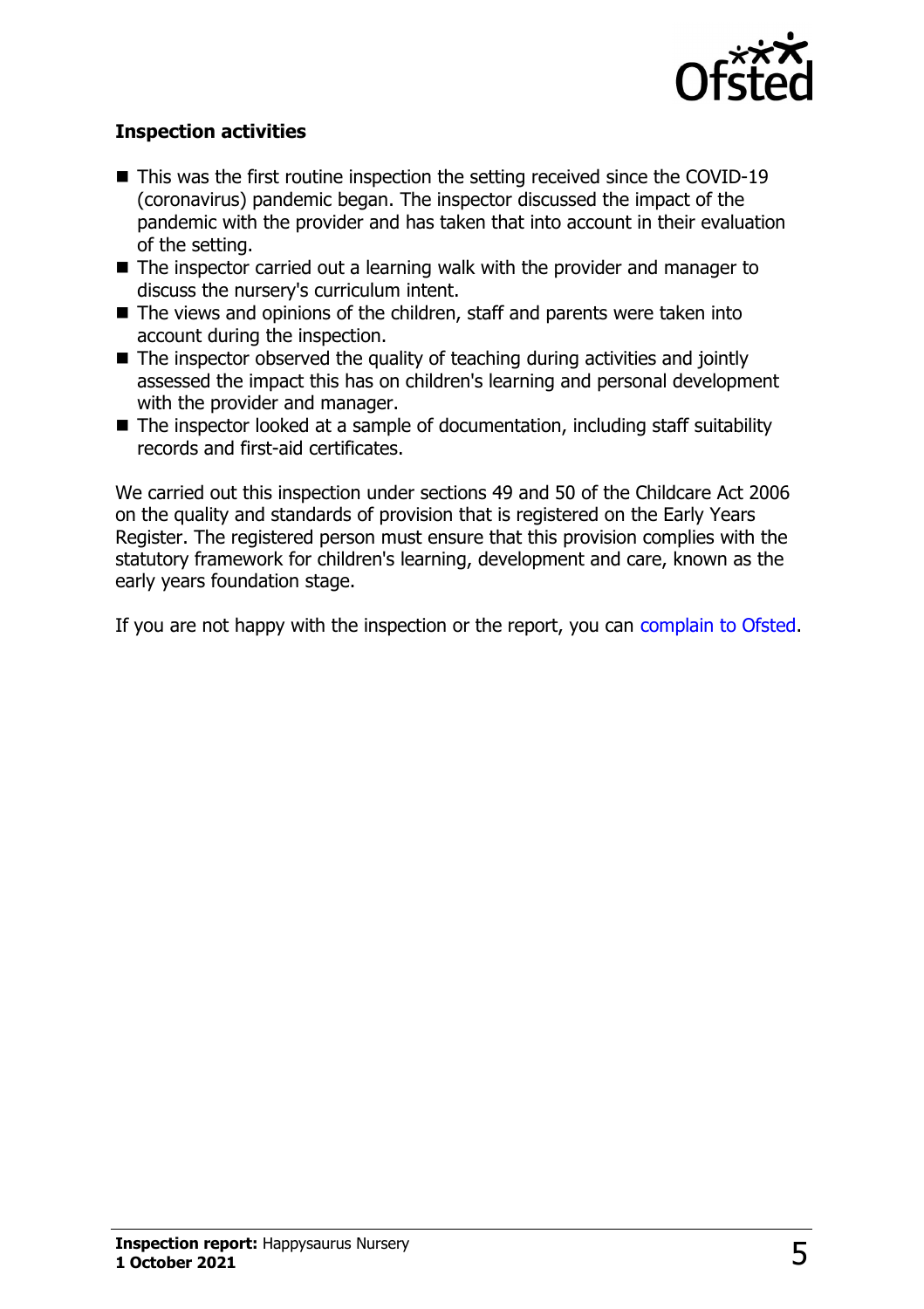

### **Inspection activities**

- $\blacksquare$  This was the first routine inspection the setting received since the COVID-19 (coronavirus) pandemic began. The inspector discussed the impact of the pandemic with the provider and has taken that into account in their evaluation of the setting.
- $\blacksquare$  The inspector carried out a learning walk with the provider and manager to discuss the nursery's curriculum intent.
- $\blacksquare$  The views and opinions of the children, staff and parents were taken into account during the inspection.
- $\blacksquare$  The inspector observed the quality of teaching during activities and jointly assessed the impact this has on children's learning and personal development with the provider and manager.
- $\blacksquare$  The inspector looked at a sample of documentation, including staff suitability records and first-aid certificates.

We carried out this inspection under sections 49 and 50 of the Childcare Act 2006 on the quality and standards of provision that is registered on the Early Years Register. The registered person must ensure that this provision complies with the statutory framework for children's learning, development and care, known as the early years foundation stage.

If you are not happy with the inspection or the report, you can [complain to Ofsted](http://www.gov.uk/complain-ofsted-report).